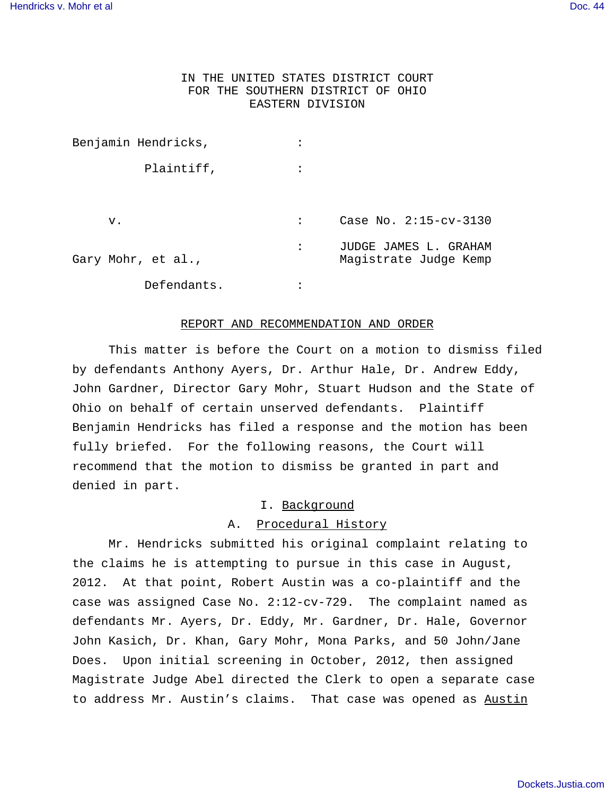# IN THE UNITED STATES DISTRICT COURT FOR THE SOUTHERN DISTRICT OF OHIO EASTERN DIVISION

| Benjamin Hendricks, |                |                                                |
|---------------------|----------------|------------------------------------------------|
| Plaintiff,          |                |                                                |
| v.                  | $\ddot{\cdot}$ | Case No. 2:15-cv-3130                          |
| Gary Mohr, et al.,  | ٠              | JUDGE JAMES L. GRAHAM<br>Magistrate Judge Kemp |
| Defendants.         |                |                                                |

### REPORT AND RECOMMENDATION AND ORDER

This matter is before the Court on a motion to dismiss filed by defendants Anthony Ayers, Dr. Arthur Hale, Dr. Andrew Eddy, John Gardner, Director Gary Mohr, Stuart Hudson and the State of Ohio on behalf of certain unserved defendants. Plaintiff Benjamin Hendricks has filed a response and the motion has been fully briefed. For the following reasons, the Court will recommend that the motion to dismiss be granted in part and denied in part.

## I. Background

### A. Procedural History

Mr. Hendricks submitted his original complaint relating to the claims he is attempting to pursue in this case in August, 2012. At that point, Robert Austin was a co-plaintiff and the case was assigned Case No. 2:12-cv-729. The complaint named as defendants Mr. Ayers, Dr. Eddy, Mr. Gardner, Dr. Hale, Governor John Kasich, Dr. Khan, Gary Mohr, Mona Parks, and 50 John/Jane Does. Upon initial screening in October, 2012, then assigned Magistrate Judge Abel directed the Clerk to open a separate case to address Mr. Austin's claims. That case was opened as Austin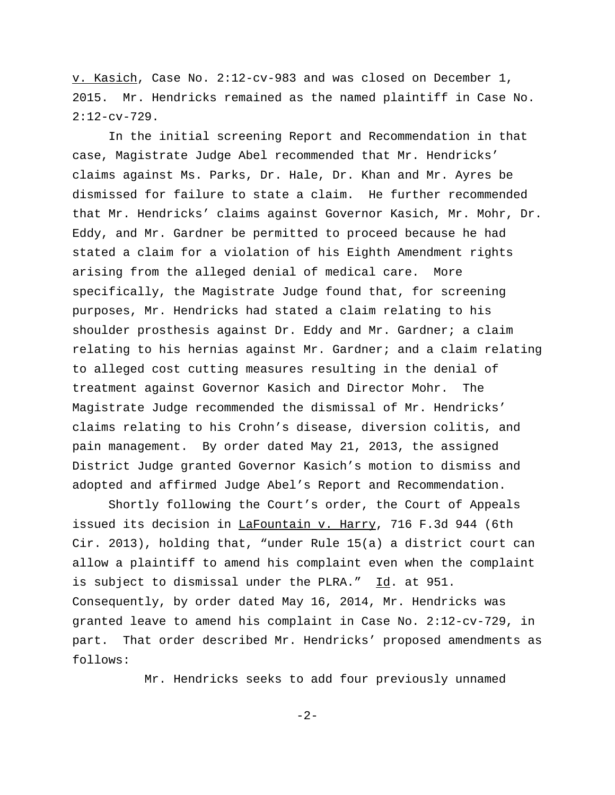v. Kasich, Case No. 2:12-cv-983 and was closed on December 1, 2015. Mr. Hendricks remained as the named plaintiff in Case No.  $2:12$ -cv-729.

In the initial screening Report and Recommendation in that case, Magistrate Judge Abel recommended that Mr. Hendricks' claims against Ms. Parks, Dr. Hale, Dr. Khan and Mr. Ayres be dismissed for failure to state a claim. He further recommended that Mr. Hendricks' claims against Governor Kasich, Mr. Mohr, Dr. Eddy, and Mr. Gardner be permitted to proceed because he had stated a claim for a violation of his Eighth Amendment rights arising from the alleged denial of medical care. More specifically, the Magistrate Judge found that, for screening purposes, Mr. Hendricks had stated a claim relating to his shoulder prosthesis against Dr. Eddy and Mr. Gardner; a claim relating to his hernias against Mr. Gardner; and a claim relating to alleged cost cutting measures resulting in the denial of treatment against Governor Kasich and Director Mohr. The Magistrate Judge recommended the dismissal of Mr. Hendricks' claims relating to his Crohn's disease, diversion colitis, and pain management. By order dated May 21, 2013, the assigned District Judge granted Governor Kasich's motion to dismiss and adopted and affirmed Judge Abel's Report and Recommendation.

Shortly following the Court's order, the Court of Appeals issued its decision in LaFountain v. Harry, 716 F.3d 944 (6th Cir. 2013), holding that, "under Rule 15(a) a district court can allow a plaintiff to amend his complaint even when the complaint is subject to dismissal under the PLRA." Id. at 951. Consequently, by order dated May 16, 2014, Mr. Hendricks was granted leave to amend his complaint in Case No. 2:12-cv-729, in part. That order described Mr. Hendricks' proposed amendments as follows:

Mr. Hendricks seeks to add four previously unnamed

-2-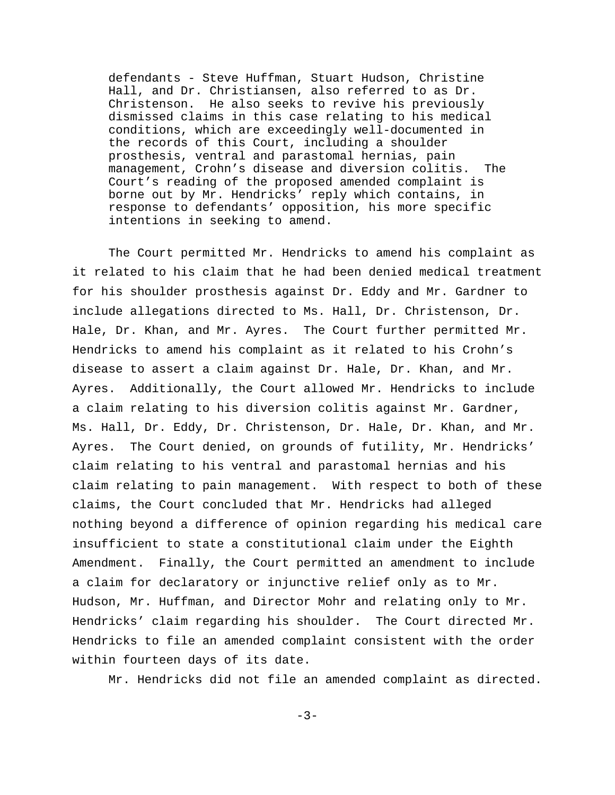defendants - Steve Huffman, Stuart Hudson, Christine Hall, and Dr. Christiansen, also referred to as Dr. Christenson. He also seeks to revive his previously dismissed claims in this case relating to his medical conditions, which are exceedingly well-documented in the records of this Court, including a shoulder prosthesis, ventral and parastomal hernias, pain management, Crohn's disease and diversion colitis. The Court's reading of the proposed amended complaint is borne out by Mr. Hendricks' reply which contains, in response to defendants' opposition, his more specific intentions in seeking to amend.

The Court permitted Mr. Hendricks to amend his complaint as it related to his claim that he had been denied medical treatment for his shoulder prosthesis against Dr. Eddy and Mr. Gardner to include allegations directed to Ms. Hall, Dr. Christenson, Dr. Hale, Dr. Khan, and Mr. Ayres. The Court further permitted Mr. Hendricks to amend his complaint as it related to his Crohn's disease to assert a claim against Dr. Hale, Dr. Khan, and Mr. Ayres. Additionally, the Court allowed Mr. Hendricks to include a claim relating to his diversion colitis against Mr. Gardner, Ms. Hall, Dr. Eddy, Dr. Christenson, Dr. Hale, Dr. Khan, and Mr. Ayres. The Court denied, on grounds of futility, Mr. Hendricks' claim relating to his ventral and parastomal hernias and his claim relating to pain management. With respect to both of these claims, the Court concluded that Mr. Hendricks had alleged nothing beyond a difference of opinion regarding his medical care insufficient to state a constitutional claim under the Eighth Amendment. Finally, the Court permitted an amendment to include a claim for declaratory or injunctive relief only as to Mr. Hudson, Mr. Huffman, and Director Mohr and relating only to Mr. Hendricks' claim regarding his shoulder. The Court directed Mr. Hendricks to file an amended complaint consistent with the order within fourteen days of its date.

Mr. Hendricks did not file an amended complaint as directed.

 $-3-$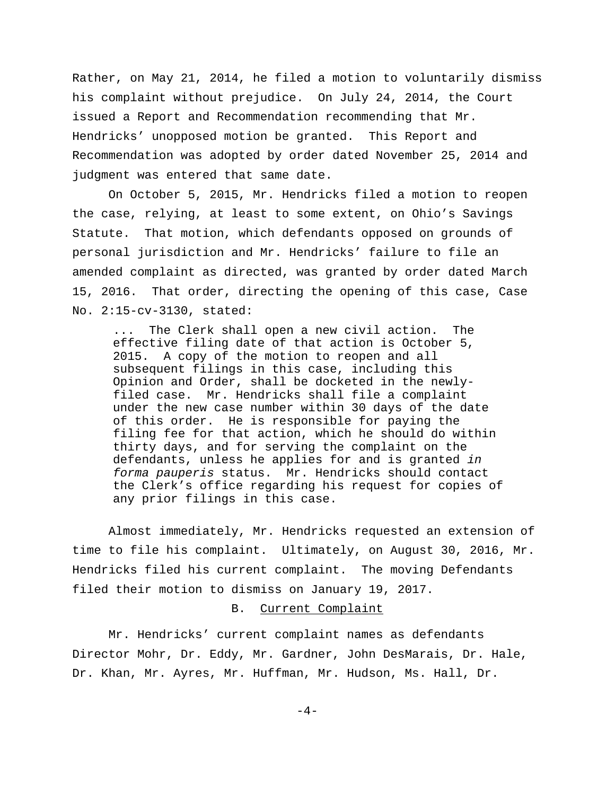Rather, on May 21, 2014, he filed a motion to voluntarily dismiss his complaint without prejudice. On July 24, 2014, the Court issued a Report and Recommendation recommending that Mr. Hendricks' unopposed motion be granted. This Report and Recommendation was adopted by order dated November 25, 2014 and judgment was entered that same date.

On October 5, 2015, Mr. Hendricks filed a motion to reopen the case, relying, at least to some extent, on Ohio's Savings Statute. That motion, which defendants opposed on grounds of personal jurisdiction and Mr. Hendricks' failure to file an amended complaint as directed, was granted by order dated March 15, 2016. That order, directing the opening of this case, Case No. 2:15-cv-3130, stated:

The Clerk shall open a new civil action. The effective filing date of that action is October 5, 2015. A copy of the motion to reopen and all subsequent filings in this case, including this Opinion and Order, shall be docketed in the newlyfiled case. Mr. Hendricks shall file a complaint under the new case number within 30 days of the date of this order. He is responsible for paying the filing fee for that action, which he should do within thirty days, and for serving the complaint on the defendants, unless he applies for and is granted in forma pauperis status. Mr. Hendricks should contact the Clerk's office regarding his request for copies of any prior filings in this case.

Almost immediately, Mr. Hendricks requested an extension of time to file his complaint. Ultimately, on August 30, 2016, Mr. Hendricks filed his current complaint. The moving Defendants filed their motion to dismiss on January 19, 2017.

### B. Current Complaint

Mr. Hendricks' current complaint names as defendants Director Mohr, Dr. Eddy, Mr. Gardner, John DesMarais, Dr. Hale, Dr. Khan, Mr. Ayres, Mr. Huffman, Mr. Hudson, Ms. Hall, Dr.

-4-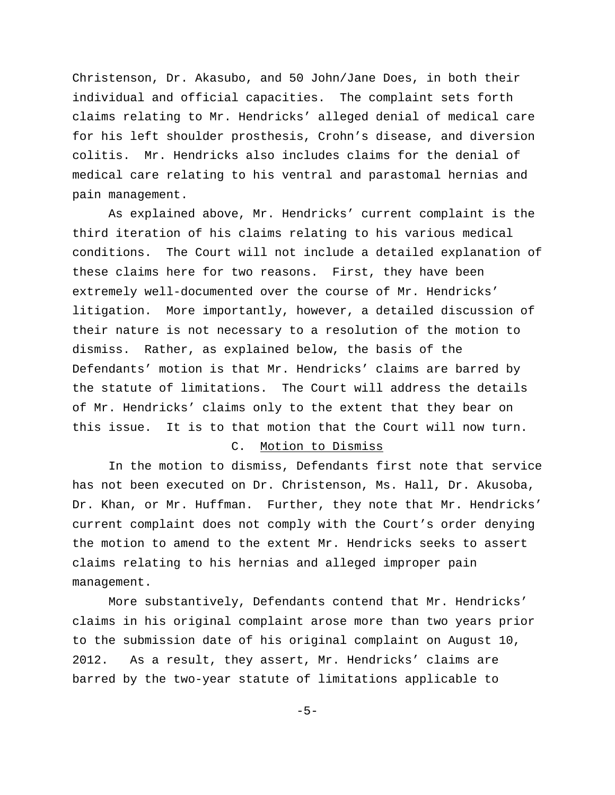Christenson, Dr. Akasubo, and 50 John/Jane Does, in both their individual and official capacities. The complaint sets forth claims relating to Mr. Hendricks' alleged denial of medical care for his left shoulder prosthesis, Crohn's disease, and diversion colitis. Mr. Hendricks also includes claims for the denial of medical care relating to his ventral and parastomal hernias and pain management.

As explained above, Mr. Hendricks' current complaint is the third iteration of his claims relating to his various medical conditions. The Court will not include a detailed explanation of these claims here for two reasons. First, they have been extremely well-documented over the course of Mr. Hendricks' litigation. More importantly, however, a detailed discussion of their nature is not necessary to a resolution of the motion to dismiss. Rather, as explained below, the basis of the Defendants' motion is that Mr. Hendricks' claims are barred by the statute of limitations. The Court will address the details of Mr. Hendricks' claims only to the extent that they bear on this issue. It is to that motion that the Court will now turn.

# C. Motion to Dismiss

In the motion to dismiss, Defendants first note that service has not been executed on Dr. Christenson, Ms. Hall, Dr. Akusoba, Dr. Khan, or Mr. Huffman. Further, they note that Mr. Hendricks' current complaint does not comply with the Court's order denying the motion to amend to the extent Mr. Hendricks seeks to assert claims relating to his hernias and alleged improper pain management.

More substantively, Defendants contend that Mr. Hendricks' claims in his original complaint arose more than two years prior to the submission date of his original complaint on August 10, 2012. As a result, they assert, Mr. Hendricks' claims are barred by the two-year statute of limitations applicable to

-5-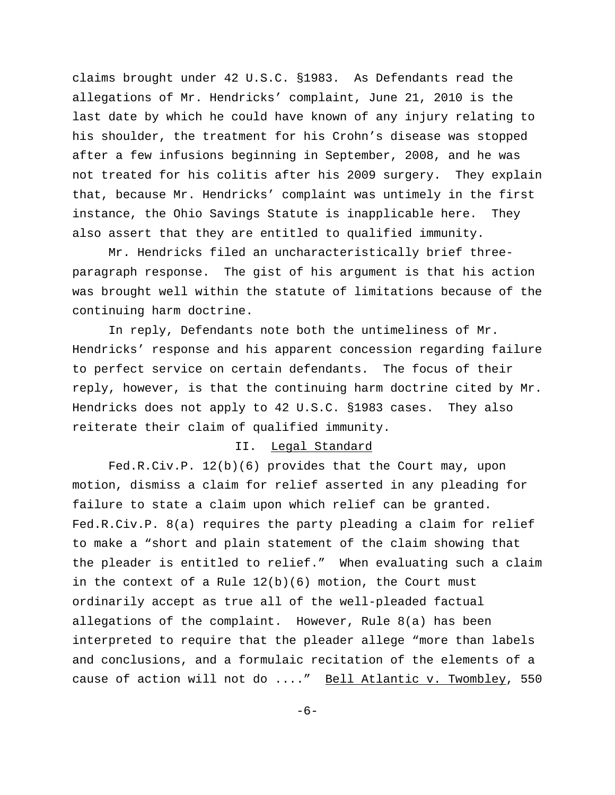claims brought under 42 U.S.C. §1983. As Defendants read the allegations of Mr. Hendricks' complaint, June 21, 2010 is the last date by which he could have known of any injury relating to his shoulder, the treatment for his Crohn's disease was stopped after a few infusions beginning in September, 2008, and he was not treated for his colitis after his 2009 surgery. They explain that, because Mr. Hendricks' complaint was untimely in the first instance, the Ohio Savings Statute is inapplicable here. They also assert that they are entitled to qualified immunity.

Mr. Hendricks filed an uncharacteristically brief threeparagraph response. The gist of his argument is that his action was brought well within the statute of limitations because of the continuing harm doctrine.

In reply, Defendants note both the untimeliness of Mr. Hendricks' response and his apparent concession regarding failure to perfect service on certain defendants. The focus of their reply, however, is that the continuing harm doctrine cited by Mr. Hendricks does not apply to 42 U.S.C. §1983 cases. They also reiterate their claim of qualified immunity.

## II. Legal Standard

Fed.R.Civ.P. 12(b)(6) provides that the Court may, upon motion, dismiss a claim for relief asserted in any pleading for failure to state a claim upon which relief can be granted. Fed.R.Civ.P. 8(a) requires the party pleading a claim for relief to make a "short and plain statement of the claim showing that the pleader is entitled to relief." When evaluating such a claim in the context of a Rule  $12(b)(6)$  motion, the Court must ordinarily accept as true all of the well-pleaded factual allegations of the complaint. However, Rule 8(a) has been interpreted to require that the pleader allege "more than labels and conclusions, and a formulaic recitation of the elements of a cause of action will not do ...." Bell Atlantic v. Twombley, 550

-6-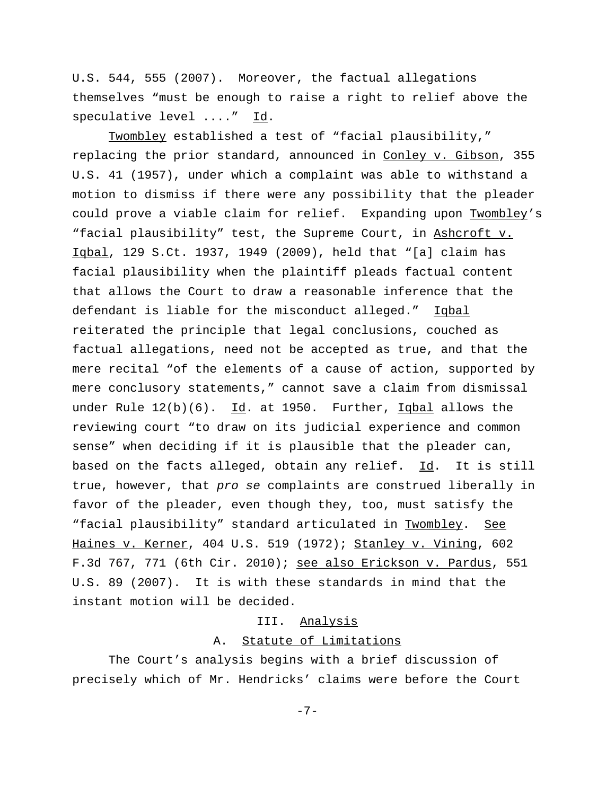U.S. 544, 555 (2007). Moreover, the factual allegations themselves "must be enough to raise a right to relief above the speculative level ...." Id.

Twombley established a test of "facial plausibility," replacing the prior standard, announced in Conley v. Gibson, 355 U.S. 41 (1957), under which a complaint was able to withstand a motion to dismiss if there were any possibility that the pleader could prove a viable claim for relief. Expanding upon Twombley's "facial plausibility" test, the Supreme Court, in Ashcroft v. Iqbal, 129 S.Ct. 1937, 1949 (2009), held that "[a] claim has facial plausibility when the plaintiff pleads factual content that allows the Court to draw a reasonable inference that the defendant is liable for the misconduct alleged." Iqbal reiterated the principle that legal conclusions, couched as factual allegations, need not be accepted as true, and that the mere recital "of the elements of a cause of action, supported by mere conclusory statements," cannot save a claim from dismissal under Rule 12(b)(6). Id. at 1950. Further, Iqbal allows the reviewing court "to draw on its judicial experience and common sense" when deciding if it is plausible that the pleader can, based on the facts alleged, obtain any relief.  $Id.$  It is still true, however, that pro se complaints are construed liberally in favor of the pleader, even though they, too, must satisfy the "facial plausibility" standard articulated in Twombley. See Haines v. Kerner, 404 U.S. 519 (1972); Stanley v. Vining, 602 F.3d 767, 771 (6th Cir. 2010); see also Erickson v. Pardus, 551 U.S. 89 (2007). It is with these standards in mind that the instant motion will be decided.

## III. Analysis

# A. Statute of Limitations

The Court's analysis begins with a brief discussion of precisely which of Mr. Hendricks' claims were before the Court

-7-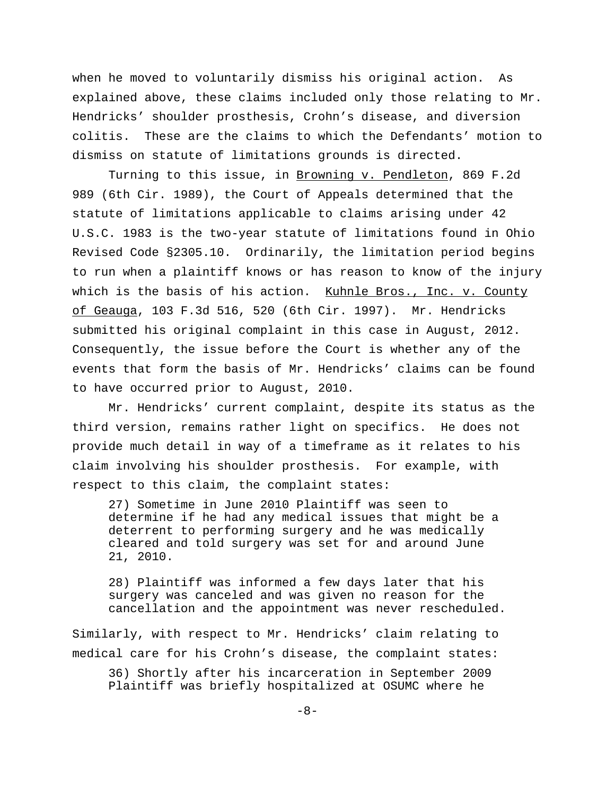when he moved to voluntarily dismiss his original action. As explained above, these claims included only those relating to Mr. Hendricks' shoulder prosthesis, Crohn's disease, and diversion colitis. These are the claims to which the Defendants' motion to dismiss on statute of limitations grounds is directed.

Turning to this issue, in Browning v. Pendleton, 869 F.2d 989 (6th Cir. 1989), the Court of Appeals determined that the statute of limitations applicable to claims arising under 42 U.S.C. 1983 is the two-year statute of limitations found in Ohio Revised Code §2305.10. Ordinarily, the limitation period begins to run when a plaintiff knows or has reason to know of the injury which is the basis of his action. Kuhnle Bros., Inc. v. County of Geauga, 103 F.3d 516, 520 (6th Cir. 1997). Mr. Hendricks submitted his original complaint in this case in August, 2012. Consequently, the issue before the Court is whether any of the events that form the basis of Mr. Hendricks' claims can be found to have occurred prior to August, 2010.

Mr. Hendricks' current complaint, despite its status as the third version, remains rather light on specifics. He does not provide much detail in way of a timeframe as it relates to his claim involving his shoulder prosthesis. For example, with respect to this claim, the complaint states:

27) Sometime in June 2010 Plaintiff was seen to determine if he had any medical issues that might be a deterrent to performing surgery and he was medically cleared and told surgery was set for and around June 21, 2010.

28) Plaintiff was informed a few days later that his surgery was canceled and was given no reason for the cancellation and the appointment was never rescheduled.

Similarly, with respect to Mr. Hendricks' claim relating to medical care for his Crohn's disease, the complaint states:

36) Shortly after his incarceration in September 2009 Plaintiff was briefly hospitalized at OSUMC where he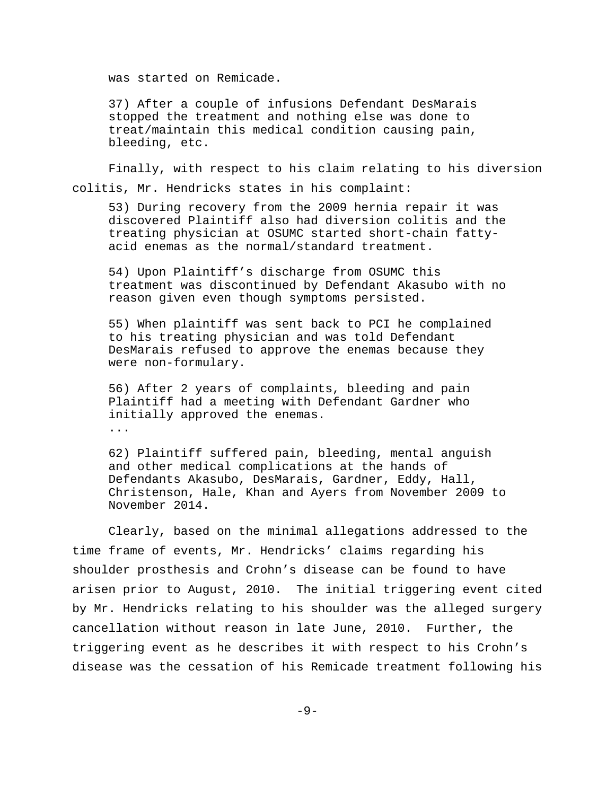was started on Remicade.

37) After a couple of infusions Defendant DesMarais stopped the treatment and nothing else was done to treat/maintain this medical condition causing pain, bleeding, etc.

Finally, with respect to his claim relating to his diversion colitis, Mr. Hendricks states in his complaint:

53) During recovery from the 2009 hernia repair it was discovered Plaintiff also had diversion colitis and the treating physician at OSUMC started short-chain fattyacid enemas as the normal/standard treatment.

54) Upon Plaintiff's discharge from OSUMC this treatment was discontinued by Defendant Akasubo with no reason given even though symptoms persisted.

55) When plaintiff was sent back to PCI he complained to his treating physician and was told Defendant DesMarais refused to approve the enemas because they were non-formulary.

56) After 2 years of complaints, bleeding and pain Plaintiff had a meeting with Defendant Gardner who initially approved the enemas.

...

62) Plaintiff suffered pain, bleeding, mental anguish and other medical complications at the hands of Defendants Akasubo, DesMarais, Gardner, Eddy, Hall, Christenson, Hale, Khan and Ayers from November 2009 to November 2014.

Clearly, based on the minimal allegations addressed to the time frame of events, Mr. Hendricks' claims regarding his shoulder prosthesis and Crohn's disease can be found to have arisen prior to August, 2010. The initial triggering event cited by Mr. Hendricks relating to his shoulder was the alleged surgery cancellation without reason in late June, 2010. Further, the triggering event as he describes it with respect to his Crohn's disease was the cessation of his Remicade treatment following his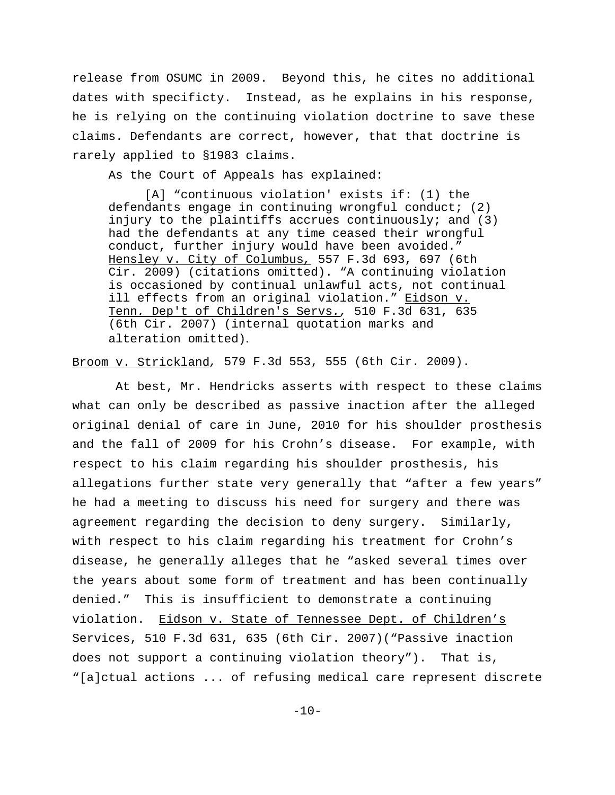release from OSUMC in 2009. Beyond this, he cites no additional dates with specificty. Instead, as he explains in his response, he is relying on the continuing violation doctrine to save these claims. Defendants are correct, however, that that doctrine is rarely applied to §1983 claims.

As the Court of Appeals has explained:

[A] "continuous violation' exists if: (1) the defendants engage in continuing wrongful conduct; (2) injury to the plaintiffs accrues continuously; and  $(3)$ had the defendants at any time ceased their wrongful conduct, further injury would have been avoided." Hensley v. City of Columbus, 557 F.3d 693, 697 (6th Cir. 2009) (citations omitted). "A continuing violation is occasioned by continual unlawful acts, not continual ill effects from an original violation." Eidson v. Tenn. Dep't of Children's Servs., 510 F.3d 631, 635 (6th Cir. 2007) (internal quotation marks and alteration omitted).

Broom v. Strickland, 579 F.3d 553, 555 (6th Cir. 2009).

 At best, Mr. Hendricks asserts with respect to these claims what can only be described as passive inaction after the alleged original denial of care in June, 2010 for his shoulder prosthesis and the fall of 2009 for his Crohn's disease. For example, with respect to his claim regarding his shoulder prosthesis, his allegations further state very generally that "after a few years" he had a meeting to discuss his need for surgery and there was agreement regarding the decision to deny surgery. Similarly, with respect to his claim regarding his treatment for Crohn's disease, he generally alleges that he "asked several times over the years about some form of treatment and has been continually denied." This is insufficient to demonstrate a continuing violation. Eidson v. State of Tennessee Dept. of Children's Services, 510 F.3d 631, 635 (6th Cir. 2007)("Passive inaction does not support a continuing violation theory"). That is, "[a]ctual actions ... of refusing medical care represent discrete

 $-10-$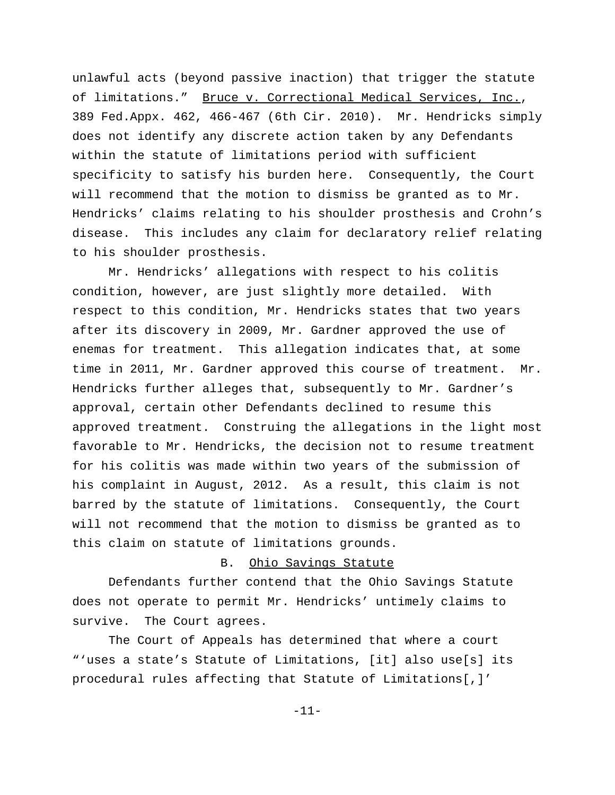unlawful acts (beyond passive inaction) that trigger the statute of limitations." Bruce v. Correctional Medical Services, Inc., 389 Fed.Appx. 462, 466-467 (6th Cir. 2010). Mr. Hendricks simply does not identify any discrete action taken by any Defendants within the statute of limitations period with sufficient specificity to satisfy his burden here. Consequently, the Court will recommend that the motion to dismiss be granted as to Mr. Hendricks' claims relating to his shoulder prosthesis and Crohn's disease. This includes any claim for declaratory relief relating to his shoulder prosthesis.

Mr. Hendricks' allegations with respect to his colitis condition, however, are just slightly more detailed. With respect to this condition, Mr. Hendricks states that two years after its discovery in 2009, Mr. Gardner approved the use of enemas for treatment. This allegation indicates that, at some time in 2011, Mr. Gardner approved this course of treatment. Mr. Hendricks further alleges that, subsequently to Mr. Gardner's approval, certain other Defendants declined to resume this approved treatment. Construing the allegations in the light most favorable to Mr. Hendricks, the decision not to resume treatment for his colitis was made within two years of the submission of his complaint in August, 2012. As a result, this claim is not barred by the statute of limitations. Consequently, the Court will not recommend that the motion to dismiss be granted as to this claim on statute of limitations grounds.

### B. Ohio Savings Statute

Defendants further contend that the Ohio Savings Statute does not operate to permit Mr. Hendricks' untimely claims to survive. The Court agrees.

 The Court of Appeals has determined that where a court "'uses a state's Statute of Limitations, [it] also use[s] its procedural rules affecting that Statute of Limitations[,]'

-11-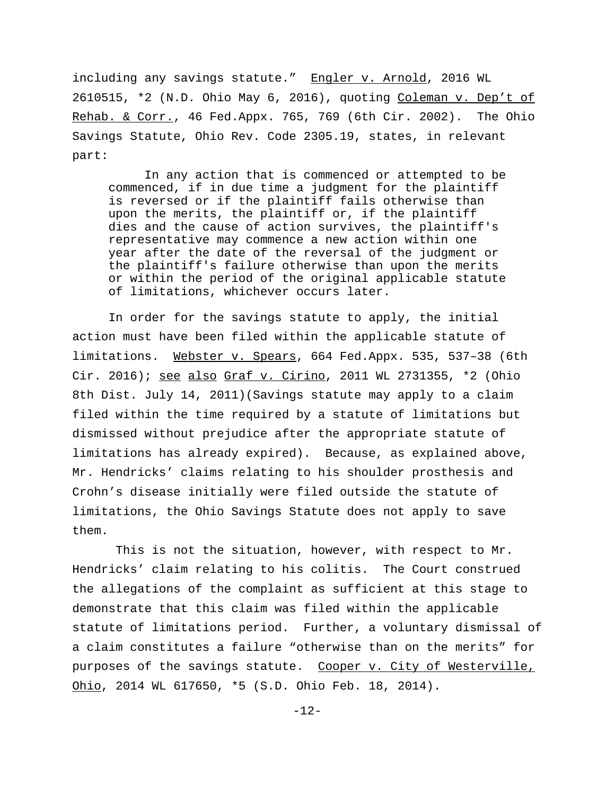including any savings statute." Engler v. Arnold, 2016 WL 2610515, \*2 (N.D. Ohio May 6, 2016), quoting Coleman v. Dep't of Rehab. & Corr., 46 Fed.Appx. 765, 769 (6th Cir. 2002). The Ohio Savings Statute, Ohio Rev. Code 2305.19, states, in relevant part:

In any action that is commenced or attempted to be commenced, if in due time a judgment for the plaintiff is reversed or if the plaintiff fails otherwise than upon the merits, the plaintiff or, if the plaintiff dies and the cause of action survives, the plaintiff's representative may commence a new action within one year after the date of the reversal of the judgment or the plaintiff's failure otherwise than upon the merits or within the period of the original applicable statute of limitations, whichever occurs later.

In order for the savings statute to apply, the initial action must have been filed within the applicable statute of limitations. Webster v. Spears, 664 Fed.Appx. 535, 537–38 (6th Cir. 2016); see also Graf v. Cirino, 2011 WL 2731355, \*2 (Ohio 8th Dist. July 14, 2011)(Savings statute may apply to a claim filed within the time required by a statute of limitations but dismissed without prejudice after the appropriate statute of limitations has already expired). Because, as explained above, Mr. Hendricks' claims relating to his shoulder prosthesis and Crohn's disease initially were filed outside the statute of limitations, the Ohio Savings Statute does not apply to save them.

 This is not the situation, however, with respect to Mr. Hendricks' claim relating to his colitis. The Court construed the allegations of the complaint as sufficient at this stage to demonstrate that this claim was filed within the applicable statute of limitations period. Further, a voluntary dismissal of a claim constitutes a failure "otherwise than on the merits" for purposes of the savings statute. Cooper v. City of Westerville, Ohio, 2014 WL 617650, \*5 (S.D. Ohio Feb. 18, 2014).

-12-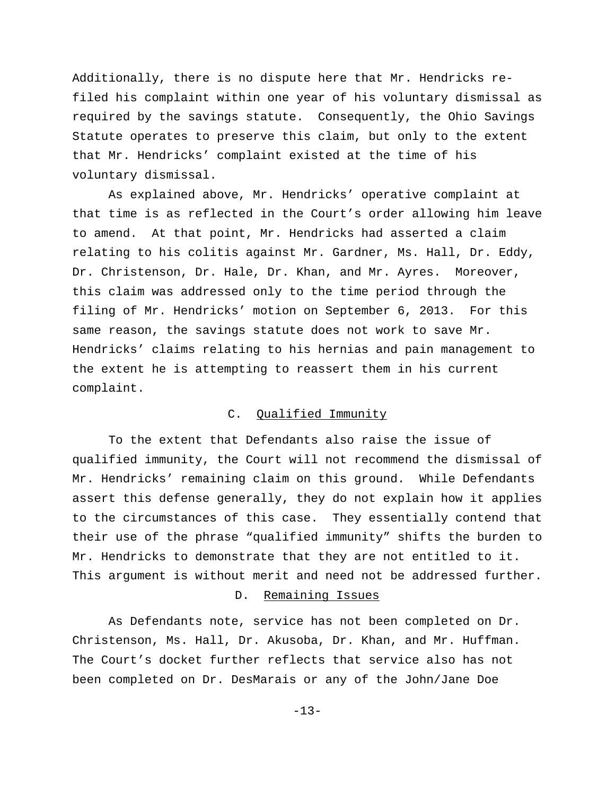Additionally, there is no dispute here that Mr. Hendricks refiled his complaint within one year of his voluntary dismissal as required by the savings statute. Consequently, the Ohio Savings Statute operates to preserve this claim, but only to the extent that Mr. Hendricks' complaint existed at the time of his voluntary dismissal.

As explained above, Mr. Hendricks' operative complaint at that time is as reflected in the Court's order allowing him leave to amend. At that point, Mr. Hendricks had asserted a claim relating to his colitis against Mr. Gardner, Ms. Hall, Dr. Eddy, Dr. Christenson, Dr. Hale, Dr. Khan, and Mr. Ayres. Moreover, this claim was addressed only to the time period through the filing of Mr. Hendricks' motion on September 6, 2013. For this same reason, the savings statute does not work to save Mr. Hendricks' claims relating to his hernias and pain management to the extent he is attempting to reassert them in his current complaint.

### C. Qualified Immunity

To the extent that Defendants also raise the issue of qualified immunity, the Court will not recommend the dismissal of Mr. Hendricks' remaining claim on this ground. While Defendants assert this defense generally, they do not explain how it applies to the circumstances of this case. They essentially contend that their use of the phrase "qualified immunity" shifts the burden to Mr. Hendricks to demonstrate that they are not entitled to it. This argument is without merit and need not be addressed further.

# D. Remaining Issues

As Defendants note, service has not been completed on Dr. Christenson, Ms. Hall, Dr. Akusoba, Dr. Khan, and Mr. Huffman. The Court's docket further reflects that service also has not been completed on Dr. DesMarais or any of the John/Jane Doe

-13-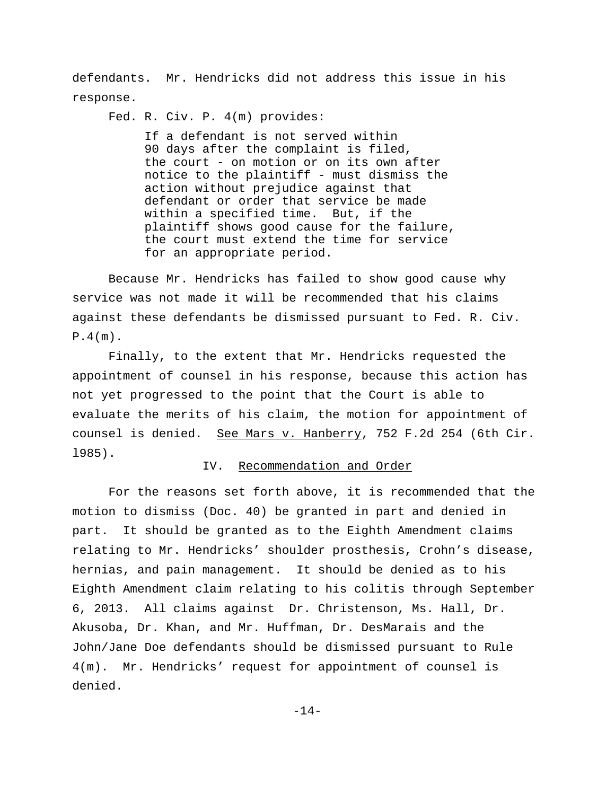defendants. Mr. Hendricks did not address this issue in his response.

Fed. R. Civ. P. 4(m) provides:

 If a defendant is not served within 90 days after the complaint is filed, the court - on motion or on its own after notice to the plaintiff - must dismiss the action without prejudice against that defendant or order that service be made within a specified time. But, if the plaintiff shows good cause for the failure, the court must extend the time for service for an appropriate period.

 Because Mr. Hendricks has failed to show good cause why service was not made it will be recommended that his claims against these defendants be dismissed pursuant to Fed. R. Civ.  $P.4(m)$ .

Finally, to the extent that Mr. Hendricks requested the appointment of counsel in his response, because this action has not yet progressed to the point that the Court is able to evaluate the merits of his claim, the motion for appointment of counsel is denied. See Mars v. Hanberry, 752 F.2d 254 (6th Cir. l985).

### IV. Recommendation and Order

For the reasons set forth above, it is recommended that the motion to dismiss (Doc. 40) be granted in part and denied in part. It should be granted as to the Eighth Amendment claims relating to Mr. Hendricks' shoulder prosthesis, Crohn's disease, hernias, and pain management. It should be denied as to his Eighth Amendment claim relating to his colitis through September 6, 2013. All claims against Dr. Christenson, Ms. Hall, Dr. Akusoba, Dr. Khan, and Mr. Huffman, Dr. DesMarais and the John/Jane Doe defendants should be dismissed pursuant to Rule 4(m). Mr. Hendricks' request for appointment of counsel is denied.

-14-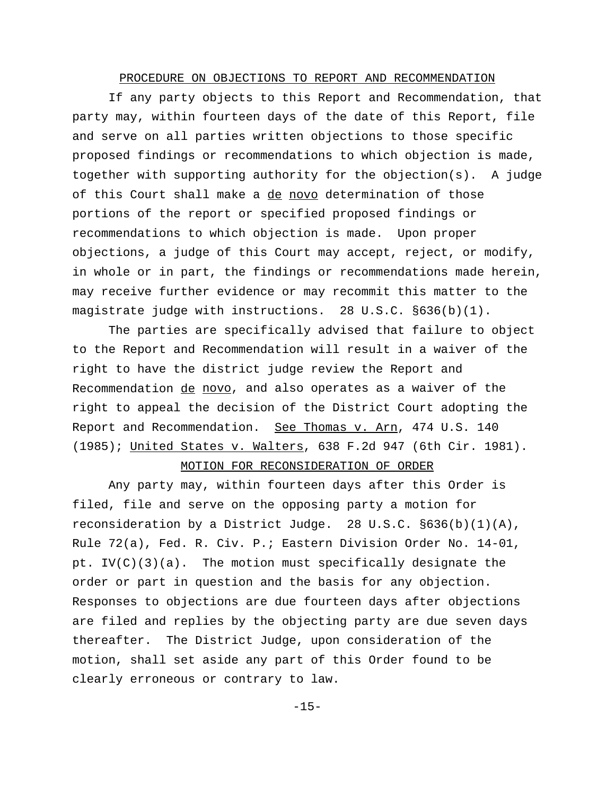### PROCEDURE ON OBJECTIONS TO REPORT AND RECOMMENDATION

 If any party objects to this Report and Recommendation, that party may, within fourteen days of the date of this Report, file and serve on all parties written objections to those specific proposed findings or recommendations to which objection is made, together with supporting authority for the objection(s). A judge of this Court shall make a de novo determination of those portions of the report or specified proposed findings or recommendations to which objection is made. Upon proper objections, a judge of this Court may accept, reject, or modify, in whole or in part, the findings or recommendations made herein, may receive further evidence or may recommit this matter to the magistrate judge with instructions. 28 U.S.C. §636(b)(1).

 The parties are specifically advised that failure to object to the Report and Recommendation will result in a waiver of the right to have the district judge review the Report and Recommendation de novo, and also operates as a waiver of the right to appeal the decision of the District Court adopting the Report and Recommendation. See Thomas v. Arn, 474 U.S. 140 (1985); United States v. Walters, 638 F.2d 947 (6th Cir. 1981).

## MOTION FOR RECONSIDERATION OF ORDER

Any party may, within fourteen days after this Order is filed, file and serve on the opposing party a motion for reconsideration by a District Judge. 28 U.S.C.  $\S 636(b)(1)(A)$ , Rule 72(a), Fed. R. Civ. P.; Eastern Division Order No. 14-01, pt. IV(C)(3)(a). The motion must specifically designate the order or part in question and the basis for any objection. Responses to objections are due fourteen days after objections are filed and replies by the objecting party are due seven days thereafter. The District Judge, upon consideration of the motion, shall set aside any part of this Order found to be clearly erroneous or contrary to law.

-15-